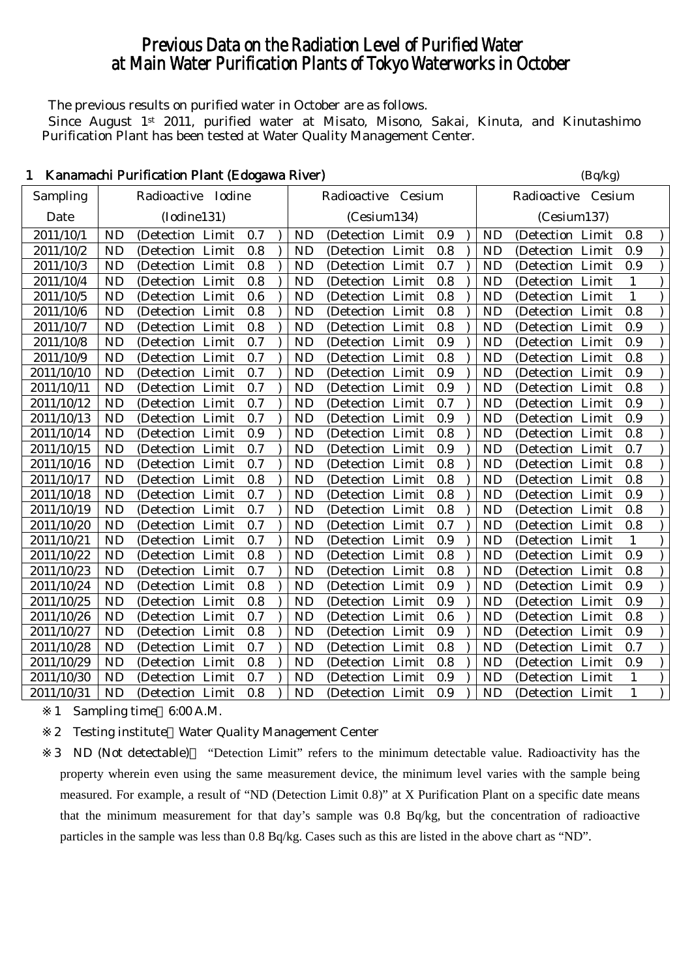# Previous Data on the Radiation Level of Purified Water at Main Water Purification Plants of Tokyo Waterworks in October

The previous results on purified water in October are as follows.

Since August 1<sup>st</sup> 2011, purified water at Misato, Misono, Sakai, Kinuta, and Kinutashimo Purification Plant has been tested at Water Quality Management Center.

|            |           | Kanamachi Purincation Piant (Edogawa Kiver) |     |           |                     |     |           | (Dq/kg)            |              |  |
|------------|-----------|---------------------------------------------|-----|-----------|---------------------|-----|-----------|--------------------|--------------|--|
| Sampling   |           | Radioactive Iodine                          |     |           | Radioactive Cesium  |     |           | Radioactive Cesium |              |  |
| Date       |           | (Iodine131)                                 |     |           | (Cesium134)         |     |           | (Cesium137)        |              |  |
| 2011/10/1  | <b>ND</b> | (Detection Limit                            | 0.7 | <b>ND</b> | (Detection Limit    | 0.9 | <b>ND</b> | (Detection Limit   | 0.8          |  |
| 2011/10/2  | <b>ND</b> | (Detection Limit                            | 0.8 | <b>ND</b> | (Detection Limit    | 0.8 | <b>ND</b> | (Detection Limit   | 0.9          |  |
| 2011/10/3  | <b>ND</b> | (Detection Limit                            | 0.8 | <b>ND</b> | (Detection Limit    | 0.7 | <b>ND</b> | (Detection Limit   | 0.9          |  |
| 2011/10/4  | <b>ND</b> | (Detection Limit                            | 0.8 | <b>ND</b> | (Detection Limit    | 0.8 | <b>ND</b> | (Detection Limit   | $\mathbf{1}$ |  |
| 2011/10/5  | <b>ND</b> | (Detection Limit                            | 0.6 | <b>ND</b> | (Detection Limit    | 0.8 | <b>ND</b> | (Detection Limit   | 1            |  |
| 2011/10/6  | <b>ND</b> | (Detection Limit                            | 0.8 | <b>ND</b> | (Detection Limit    | 0.8 | <b>ND</b> | (Detection Limit   | 0.8          |  |
| 2011/10/7  | <b>ND</b> | (Detection Limit                            | 0.8 | <b>ND</b> | (Detection Limit    | 0.8 | <b>ND</b> | (Detection Limit   | 0.9          |  |
| 2011/10/8  | <b>ND</b> | (Detection Limit                            | 0.7 | <b>ND</b> | (Detection Limit    | 0.9 | <b>ND</b> | (Detection Limit   | 0.9          |  |
| 2011/10/9  | <b>ND</b> | (Detection Limit                            | 0.7 | <b>ND</b> | (Detection Limit    | 0.8 | <b>ND</b> | (Detection Limit   | 0.8          |  |
| 2011/10/10 | <b>ND</b> | (Detection Limit                            | 0.7 | <b>ND</b> | (Detection Limit    | 0.9 | <b>ND</b> | (Detection Limit   | 0.9          |  |
| 2011/10/11 | <b>ND</b> | (Detection Limit                            | 0.7 | <b>ND</b> | (Detection Limit    | 0.9 | <b>ND</b> | (Detection Limit   | 0.8          |  |
| 2011/10/12 | <b>ND</b> | (Detection Limit                            | 0.7 | <b>ND</b> | (Detection Limit    | 0.7 | <b>ND</b> | (Detection Limit   | 0.9          |  |
| 2011/10/13 | <b>ND</b> | (Detection Limit                            | 0.7 | <b>ND</b> | (Detection Limit    | 0.9 | <b>ND</b> | (Detection Limit   | 0.9          |  |
| 2011/10/14 | <b>ND</b> | (Detection Limit                            | 0.9 | <b>ND</b> | (Detection Limit    | 0.8 | <b>ND</b> | (Detection Limit   | $0.8\,$      |  |
| 2011/10/15 | <b>ND</b> | (Detection Limit                            | 0.7 | <b>ND</b> | (Detection Limit    | 0.9 | <b>ND</b> | (Detection Limit   | 0.7          |  |
| 2011/10/16 | <b>ND</b> | (Detection Limit                            | 0.7 | <b>ND</b> | (Detection Limit    | 0.8 | <b>ND</b> | (Detection Limit   | 0.8          |  |
| 2011/10/17 | <b>ND</b> | (Detection Limit                            | 0.8 | <b>ND</b> | (Detection Limit    | 0.8 | <b>ND</b> | (Detection Limit   | 0.8          |  |
| 2011/10/18 | <b>ND</b> | (Detection Limit                            | 0.7 | <b>ND</b> | (Detection Limit    | 0.8 | <b>ND</b> | (Detection Limit   | 0.9          |  |
| 2011/10/19 | <b>ND</b> | (Detection Limit                            | 0.7 | <b>ND</b> | (Detection Limit    | 0.8 | <b>ND</b> | (Detection Limit   | 0.8          |  |
| 2011/10/20 | <b>ND</b> | (Detection Limit                            | 0.7 | <b>ND</b> | (Detection Limit    | 0.7 | <b>ND</b> | (Detection Limit   | 0.8          |  |
| 2011/10/21 | <b>ND</b> | (Detection Limit                            | 0.7 | <b>ND</b> | (Detection Limit    | 0.9 | <b>ND</b> | (Detection Limit   | $\mathbf{1}$ |  |
| 2011/10/22 | <b>ND</b> | (Detection Limit                            | 0.8 | <b>ND</b> | (Detection Limit    | 0.8 | <b>ND</b> | (Detection Limit   | 0.9          |  |
| 2011/10/23 | <b>ND</b> | (Detection Limit                            | 0.7 | <b>ND</b> | (Detection Limit    | 0.8 | <b>ND</b> | (Detection Limit   | 0.8          |  |
| 2011/10/24 | <b>ND</b> | (Detection Limit                            | 0.8 | <b>ND</b> | (Detection Limit    | 0.9 | <b>ND</b> | (Detection Limit   | 0.9          |  |
| 2011/10/25 | <b>ND</b> | (Detection Limit                            | 0.8 | <b>ND</b> | (Detection Limit    | 0.9 | <b>ND</b> | (Detection Limit   | 0.9          |  |
| 2011/10/26 | <b>ND</b> | (Detection Limit                            | 0.7 | <b>ND</b> | (Detection Limit    | 0.6 | <b>ND</b> | (Detection Limit   | 0.8          |  |
| 2011/10/27 | <b>ND</b> | (Detection Limit                            | 0.8 | <b>ND</b> | (Detection Limit    | 0.9 | <b>ND</b> | (Detection Limit   | 0.9          |  |
| 2011/10/28 | <b>ND</b> | (Detection Limit                            | 0.7 | <b>ND</b> | (Detection Limit    | 0.8 | <b>ND</b> | (Detection Limit   | 0.7          |  |
| 2011/10/29 | <b>ND</b> | Limit<br>(Detection                         | 0.8 | <b>ND</b> | Limit<br>(Detection | 0.8 | <b>ND</b> | (Detection Limit   | 0.9          |  |
| 2011/10/30 | <b>ND</b> | (Detection Limit                            | 0.7 | <b>ND</b> | (Detection Limit    | 0.9 | <b>ND</b> | (Detection Limit   | $\mathbf{1}$ |  |
| 2011/10/31 | <b>ND</b> | (Detection Limit                            | 0.8 | <b>ND</b> | (Detection Limit    | 0.9 | <b>ND</b> | (Detection Limit   | $\mathbf{1}$ |  |

## $K$ anamachi Purification Plant (Edogawa River) (Bq/kg)

1 Sampling time 6:00 A.M.

2 Testing institute Water Quality Management Center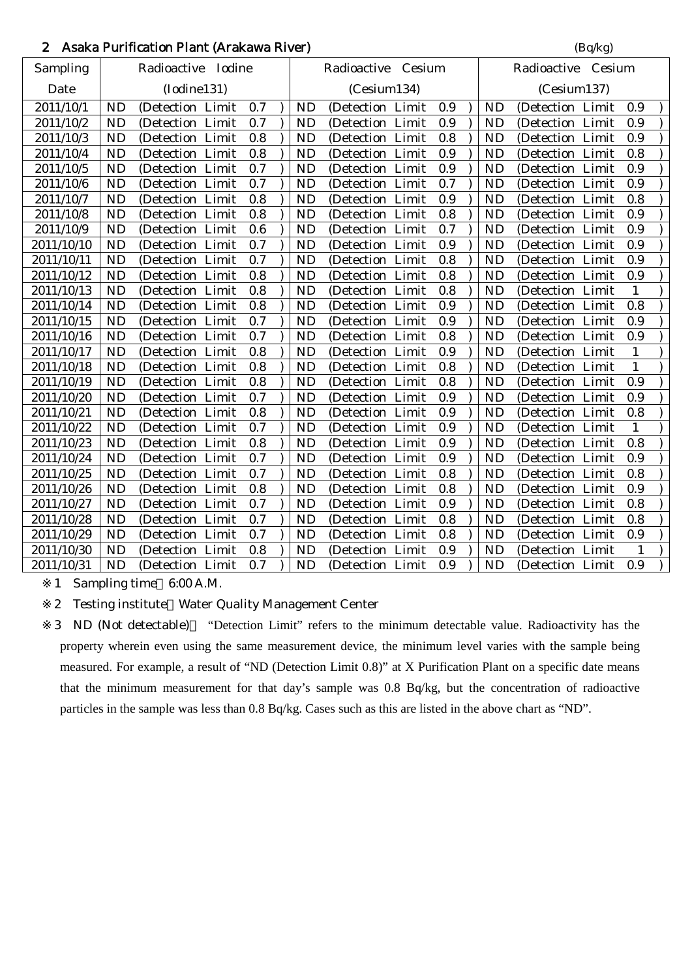## 2 Asaka Purification Plant (Arakawa River) (Bq/kg)

|            |           | $\frac{1}{2}$ wand I armore on I fame $\frac{1}{2}$ is and we for $\frac{1}{2}$ |         |           |                    |         |           | (44.5)             |              |  |
|------------|-----------|---------------------------------------------------------------------------------|---------|-----------|--------------------|---------|-----------|--------------------|--------------|--|
| Sampling   |           | Radioactive Iodine                                                              |         |           | Radioactive Cesium |         |           | Radioactive Cesium |              |  |
| Date       |           | (Iodine131)                                                                     |         |           | (Cesium134)        |         |           | (Cesium137)        |              |  |
| 2011/10/1  | <b>ND</b> | (Detection Limit                                                                | 0.7     | <b>ND</b> | (Detection Limit)  | 0.9     | <b>ND</b> | (Detection Limit   | 0.9          |  |
| 2011/10/2  | <b>ND</b> | (Detection Limit                                                                | 0.7     | <b>ND</b> | (Detection Limit   | 0.9     | <b>ND</b> | (Detection Limit   | 0.9          |  |
| 2011/10/3  | <b>ND</b> | (Detection Limit                                                                | 0.8     | <b>ND</b> | (Detection Limit   | 0.8     | <b>ND</b> | (Detection Limit   | 0.9          |  |
| 2011/10/4  | <b>ND</b> | (Detection Limit                                                                | 0.8     | <b>ND</b> | (Detection Limit   | 0.9     | <b>ND</b> | (Detection Limit   | 0.8          |  |
| 2011/10/5  | <b>ND</b> | (Detection Limit                                                                | 0.7     | <b>ND</b> | (Detection Limit   | 0.9     | <b>ND</b> | (Detection Limit   | 0.9          |  |
| 2011/10/6  | <b>ND</b> | (Detection Limit                                                                | 0.7     | <b>ND</b> | (Detection Limit   | 0.7     | <b>ND</b> | (Detection Limit   | 0.9          |  |
| 2011/10/7  | <b>ND</b> | (Detection Limit                                                                | $0.8\,$ | <b>ND</b> | (Detection Limit   | 0.9     | <b>ND</b> | (Detection Limit   | 0.8          |  |
| 2011/10/8  | <b>ND</b> | (Detection Limit                                                                | 0.8     | <b>ND</b> | (Detection Limit   | 0.8     | <b>ND</b> | (Detection Limit   | 0.9          |  |
| 2011/10/9  | <b>ND</b> | (Detection Limit                                                                | 0.6     | <b>ND</b> | (Detection Limit   | 0.7     | <b>ND</b> | (Detection Limit   | 0.9          |  |
| 2011/10/10 | <b>ND</b> | (Detection Limit                                                                | 0.7     | <b>ND</b> | (Detection Limit   | 0.9     | <b>ND</b> | (Detection Limit   | 0.9          |  |
| 2011/10/11 | <b>ND</b> | (Detection Limit                                                                | 0.7     | <b>ND</b> | (Detection Limit   | 0.8     | <b>ND</b> | (Detection Limit   | 0.9          |  |
| 2011/10/12 | <b>ND</b> | (Detection Limit                                                                | 0.8     | <b>ND</b> | (Detection Limit   | 0.8     | <b>ND</b> | (Detection Limit   | 0.9          |  |
| 2011/10/13 | <b>ND</b> | (Detection Limit                                                                | 0.8     | <b>ND</b> | (Detection Limit   | 0.8     | <b>ND</b> | (Detection Limit   | $\mathbf{1}$ |  |
| 2011/10/14 | <b>ND</b> | (Detection Limit                                                                | 0.8     | <b>ND</b> | (Detection Limit   | 0.9     | <b>ND</b> | (Detection Limit   | 0.8          |  |
| 2011/10/15 | <b>ND</b> | (Detection Limit                                                                | 0.7     | <b>ND</b> | (Detection Limit   | 0.9     | <b>ND</b> | (Detection Limit   | 0.9          |  |
| 2011/10/16 | <b>ND</b> | (Detection Limit                                                                | 0.7     | <b>ND</b> | (Detection Limit   | 0.8     | <b>ND</b> | (Detection Limit   | 0.9          |  |
| 2011/10/17 | <b>ND</b> | (Detection Limit                                                                | 0.8     | <b>ND</b> | (Detection Limit   | 0.9     | <b>ND</b> | (Detection Limit   | 1            |  |
| 2011/10/18 | <b>ND</b> | (Detection Limit                                                                | 0.8     | <b>ND</b> | (Detection Limit   | 0.8     | <b>ND</b> | (Detection Limit   | 1            |  |
| 2011/10/19 | <b>ND</b> | (Detection Limit                                                                | 0.8     | <b>ND</b> | (Detection Limit   | 0.8     | <b>ND</b> | (Detection Limit   | 0.9          |  |
| 2011/10/20 | <b>ND</b> | (Detection Limit                                                                | 0.7     | <b>ND</b> | (Detection Limit   | 0.9     | <b>ND</b> | (Detection Limit   | 0.9          |  |
| 2011/10/21 | <b>ND</b> | (Detection Limit                                                                | 0.8     | <b>ND</b> | (Detection Limit   | $0.9\,$ | <b>ND</b> | (Detection Limit   | 0.8          |  |
| 2011/10/22 | <b>ND</b> | (Detection Limit                                                                | 0.7     | <b>ND</b> | (Detection Limit   | 0.9     | <b>ND</b> | (Detection Limit   | 1            |  |
| 2011/10/23 | <b>ND</b> | (Detection Limit                                                                | 0.8     | <b>ND</b> | (Detection Limit   | 0.9     | <b>ND</b> | (Detection Limit   | 0.8          |  |
| 2011/10/24 | <b>ND</b> | (Detection Limit                                                                | 0.7     | <b>ND</b> | (Detection Limit   | 0.9     | <b>ND</b> | (Detection Limit   | 0.9          |  |
| 2011/10/25 | <b>ND</b> | (Detection Limit                                                                | 0.7     | <b>ND</b> | (Detection Limit   | 0.8     | <b>ND</b> | (Detection Limit   | 0.8          |  |
| 2011/10/26 | <b>ND</b> | (Detection Limit                                                                | 0.8     | <b>ND</b> | (Detection Limit   | 0.8     | <b>ND</b> | (Detection Limit   | 0.9          |  |
| 2011/10/27 | <b>ND</b> | (Detection Limit                                                                | 0.7     | <b>ND</b> | (Detection Limit   | 0.9     | <b>ND</b> | (Detection Limit   | 0.8          |  |
| 2011/10/28 | <b>ND</b> | (Detection Limit                                                                | 0.7     | <b>ND</b> | (Detection Limit   | 0.8     | <b>ND</b> | (Detection Limit   | 0.8          |  |
| 2011/10/29 | <b>ND</b> | (Detection Limit                                                                | 0.7     | <b>ND</b> | (Detection Limit   | 0.8     | <b>ND</b> | (Detection Limit   | 0.9          |  |
| 2011/10/30 | <b>ND</b> | (Detection Limit                                                                | 0.8     | <b>ND</b> | (Detection Limit   | 0.9     | <b>ND</b> | (Detection Limit   | 1            |  |
| 2011/10/31 | <b>ND</b> | (Detection Limit                                                                | 0.7     | <b>ND</b> | (Detection Limit   | 0.9     | <b>ND</b> | (Detection Limit   | 0.9          |  |

1 Sampling time 6:00 A.M.

2 Testing institute Water Quality Management Center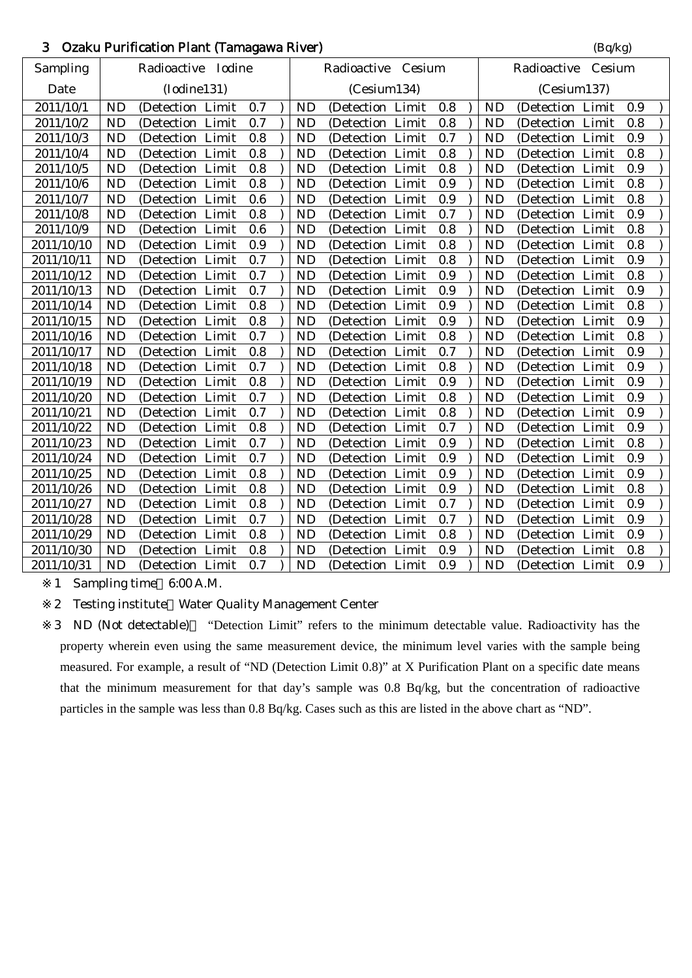## 3 Ozaku Purification Plant (Tamagawa River) (Bq/kg)

|            |           |                    |         |           |                    |         |           | $\sim$ 1 $\sigma$  |     |  |
|------------|-----------|--------------------|---------|-----------|--------------------|---------|-----------|--------------------|-----|--|
| Sampling   |           | Radioactive Iodine |         |           | Radioactive Cesium |         |           | Radioactive Cesium |     |  |
| Date       |           | (Iodine131)        |         |           | (Cesium134)        |         |           | (Cesium137)        |     |  |
| 2011/10/1  | <b>ND</b> | (Detection Limit   | 0.7     | <b>ND</b> | (Detection Limit   | 0.8     | <b>ND</b> | (Detection Limit   | 0.9 |  |
| 2011/10/2  | <b>ND</b> | (Detection Limit   | 0.7     | <b>ND</b> | (Detection Limit   | 0.8     | <b>ND</b> | (Detection Limit   | 0.8 |  |
| 2011/10/3  | <b>ND</b> | (Detection Limit   | 0.8     | <b>ND</b> | (Detection Limit   | 0.7     | <b>ND</b> | (Detection Limit   | 0.9 |  |
| 2011/10/4  | <b>ND</b> | (Detection Limit   | 0.8     | <b>ND</b> | (Detection Limit   | 0.8     | <b>ND</b> | (Detection Limit   | 0.8 |  |
| 2011/10/5  | <b>ND</b> | (Detection Limit   | 0.8     | <b>ND</b> | (Detection Limit   | 0.8     | <b>ND</b> | (Detection Limit   | 0.9 |  |
| 2011/10/6  | <b>ND</b> | (Detection Limit   | 0.8     | <b>ND</b> | (Detection Limit   | 0.9     | <b>ND</b> | (Detection Limit)  | 0.8 |  |
| 2011/10/7  | <b>ND</b> | (Detection Limit   | 0.6     | <b>ND</b> | (Detection Limit   | 0.9     | <b>ND</b> | (Detection Limit   | 0.8 |  |
| 2011/10/8  | <b>ND</b> | (Detection Limit   | 0.8     | <b>ND</b> | (Detection Limit   | 0.7     | <b>ND</b> | (Detection Limit   | 0.9 |  |
| 2011/10/9  | <b>ND</b> | (Detection Limit   | 0.6     | <b>ND</b> | (Detection Limit   | 0.8     | <b>ND</b> | (Detection Limit   | 0.8 |  |
| 2011/10/10 | <b>ND</b> | (Detection Limit   | 0.9     | <b>ND</b> | (Detection Limit   | 0.8     | <b>ND</b> | (Detection Limit   | 0.8 |  |
| 2011/10/11 | <b>ND</b> | (Detection Limit   | 0.7     | <b>ND</b> | (Detection Limit   | 0.8     | <b>ND</b> | (Detection Limit   | 0.9 |  |
| 2011/10/12 | <b>ND</b> | (Detection Limit   | 0.7     | <b>ND</b> | (Detection Limit   | 0.9     | <b>ND</b> | (Detection Limit   | 0.8 |  |
| 2011/10/13 | <b>ND</b> | (Detection Limit   | 0.7     | <b>ND</b> | (Detection Limit   | 0.9     | <b>ND</b> | (Detection Limit   | 0.9 |  |
| 2011/10/14 | <b>ND</b> | (Detection Limit   | 0.8     | <b>ND</b> | (Detection Limit   | 0.9     | <b>ND</b> | (Detection Limit   | 0.8 |  |
| 2011/10/15 | <b>ND</b> | (Detection Limit   | 0.8     | <b>ND</b> | (Detection Limit   | 0.9     | <b>ND</b> | (Detection Limit)  | 0.9 |  |
| 2011/10/16 | <b>ND</b> | (Detection Limit   | 0.7     | <b>ND</b> | (Detection Limit   | $0.8\,$ | <b>ND</b> | (Detection Limit   | 0.8 |  |
| 2011/10/17 | <b>ND</b> | (Detection Limit   | 0.8     | <b>ND</b> | (Detection Limit   | 0.7     | <b>ND</b> | (Detection Limit   | 0.9 |  |
| 2011/10/18 | <b>ND</b> | (Detection Limit   | 0.7     | <b>ND</b> | (Detection Limit   | 0.8     | <b>ND</b> | (Detection Limit   | 0.9 |  |
| 2011/10/19 | <b>ND</b> | (Detection Limit   | 0.8     | <b>ND</b> | (Detection Limit   | 0.9     | <b>ND</b> | (Detection Limit   | 0.9 |  |
| 2011/10/20 | <b>ND</b> | (Detection Limit   | 0.7     | <b>ND</b> | (Detection Limit   | 0.8     | <b>ND</b> | (Detection Limit   | 0.9 |  |
| 2011/10/21 | <b>ND</b> | (Detection Limit   | 0.7     | <b>ND</b> | (Detection Limit   | $0.8\,$ | <b>ND</b> | (Detection Limit   | 0.9 |  |
| 2011/10/22 | <b>ND</b> | (Detection Limit   | 0.8     | <b>ND</b> | (Detection Limit   | 0.7     | <b>ND</b> | (Detection Limit   | 0.9 |  |
| 2011/10/23 | <b>ND</b> | (Detection Limit   | 0.7     | <b>ND</b> | (Detection Limit   | 0.9     | ND        | (Detection Limit   | 0.8 |  |
| 2011/10/24 | <b>ND</b> | (Detection Limit   | 0.7     | <b>ND</b> | (Detection Limit   | 0.9     | <b>ND</b> | (Detection Limit   | 0.9 |  |
| 2011/10/25 | <b>ND</b> | (Detection Limit   | 0.8     | <b>ND</b> | (Detection Limit   | 0.9     | <b>ND</b> | (Detection Limit   | 0.9 |  |
| 2011/10/26 | <b>ND</b> | (Detection Limit   | 0.8     | <b>ND</b> | (Detection Limit   | 0.9     | <b>ND</b> | (Detection Limit   | 0.8 |  |
| 2011/10/27 | <b>ND</b> | (Detection Limit   | $0.8\,$ | <b>ND</b> | (Detection Limit   | 0.7     | <b>ND</b> | (Detection Limit   | 0.9 |  |
| 2011/10/28 | <b>ND</b> | (Detection Limit   | 0.7     | <b>ND</b> | (Detection Limit   | 0.7     | <b>ND</b> | (Detection Limit   | 0.9 |  |
| 2011/10/29 | <b>ND</b> | (Detection Limit   | 0.8     | <b>ND</b> | (Detection Limit   | 0.8     | <b>ND</b> | (Detection Limit   | 0.9 |  |
| 2011/10/30 | <b>ND</b> | (Detection Limit   | 0.8     | <b>ND</b> | (Detection Limit   | 0.9     | <b>ND</b> | (Detection Limit   | 0.8 |  |
| 2011/10/31 | <b>ND</b> | (Detection Limit   | 0.7     | <b>ND</b> | (Detection Limit   | 0.9     | <b>ND</b> | (Detection Limit)  | 0.9 |  |

1 Sampling time 6:00 A.M.

2 Testing institute Water Quality Management Center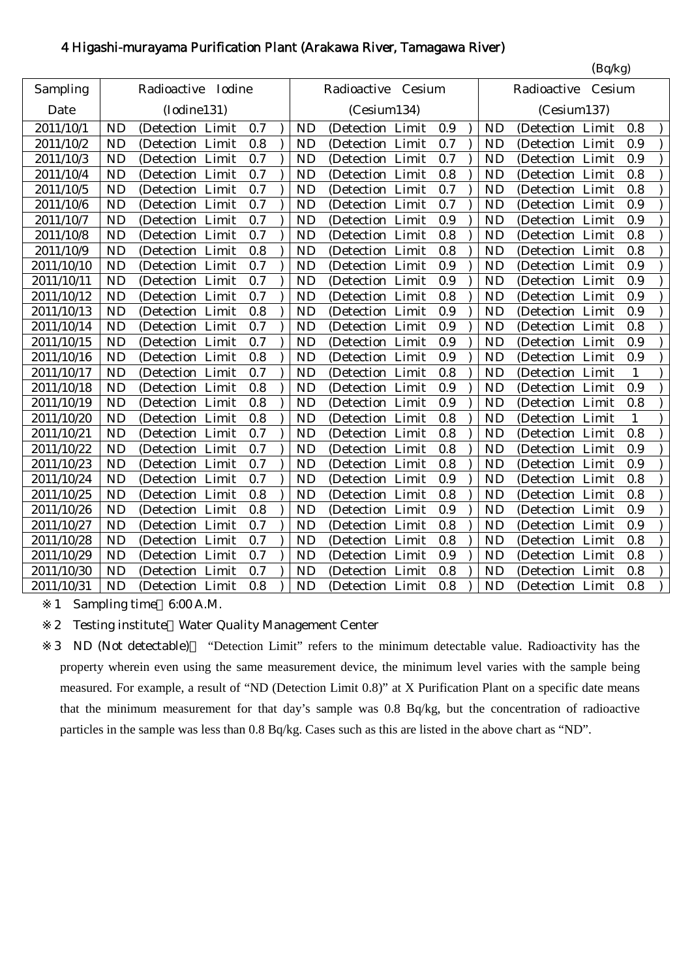## 4 Higashi-murayama Purification Plant (Arakawa River, Tamagawa River)

| Sampling<br>Radioactive Iodine<br>Radioactive Cesium<br>Cesium<br>Radioactive<br>(Iodine131)<br>(Cesium137)<br>Date<br>(Cesium134)<br>2011/10/1<br><b>ND</b><br>0.7<br><b>ND</b><br><b>ND</b><br>0.8<br>(Detection Limit<br>0.9<br>(Detection Limit<br>(Detection Limit<br>0.8<br>0.7<br>0.9<br>2011/10/2<br><b>ND</b><br>(Detection Limit<br><b>ND</b><br>(Detection Limit<br><b>ND</b><br>(Detection Limit<br>2011/10/3<br><b>ND</b><br>0.7<br><b>ND</b><br>0.7<br><b>ND</b><br>(Detection Limit<br>0.9<br>(Detection Limit<br>(Detection<br>Limit<br><b>ND</b><br>0.7<br><b>ND</b><br>0.8<br><b>ND</b><br>0.8<br>2011/10/4<br>(Detection Limit<br>Limit<br>Limit<br>(Detection)<br>(Detection)<br><b>ND</b><br>0.7<br><b>ND</b><br>0.7<br>0.8<br>2011/10/5<br>(Detection Limit<br><b>ND</b><br>(Detection Limit<br>(Detection Limit<br>0.7<br>0.9<br><b>ND</b><br>0.7<br><b>ND</b><br>2011/10/6<br>(Detection Limit<br>(Detection Limit<br><b>ND</b><br>(Detection Limit<br>0.7<br>0.9<br>0.9<br>2011/10/7<br><b>ND</b><br>(Detection Limit<br><b>ND</b><br>(Detection Limit<br><b>ND</b><br>(Detection Limit<br>0.8<br>0.8<br><b>ND</b><br>(Detection Limit<br>0.7<br><b>ND</b><br>(Detection Limit<br><b>ND</b><br>2011/10/8<br>Limit<br>(Detection<br>0.8<br>0.8<br>0.8<br>2011/10/9<br><b>ND</b><br>(Detection Limit<br><b>ND</b><br>(Detection Limit<br><b>ND</b><br>Limit<br>(Detection<br><b>ND</b><br>0.9<br>(Detection Limit<br>0.7<br><b>ND</b><br><b>ND</b><br>(Detection Limit<br>0.9<br>2011/10/10<br>(Detection Limit<br><b>ND</b><br>0.7<br>0.9<br>0.9<br>2011/10/11<br>(Detection Limit<br><b>ND</b><br>(Detection Limit<br><b>ND</b><br>(Detection Limit<br><b>ND</b><br><b>ND</b><br>0.8<br>2011/10/12<br>(Detection Limit<br>0.7<br>Limit<br><b>ND</b><br>0.9<br>(Detection<br>(Detection Limit<br>0.9<br>0.9<br>2011/10/13<br><b>ND</b><br>0.8<br><b>ND</b><br><b>ND</b><br>(Detection Limit<br>(Detection Limit<br>(Detection Limit<br>0.8<br>2011/10/14<br><b>ND</b><br>0.7<br><b>ND</b><br>0.9<br>(Detection Limit<br>(Detection Limit<br><b>ND</b><br>(Detection Limit<br>0.9<br>2011/10/15<br><b>ND</b><br>(Detection Limit<br>0.7<br><b>ND</b><br>0.9<br>(Detection Limit<br>(Detection Limit<br><b>ND</b><br>2011/10/16<br><b>ND</b><br>(Detection Limit<br>0.8<br><b>ND</b><br>(Detection Limit<br>0.9<br>0.9<br><b>ND</b><br>(Detection Limit<br>0.8<br>2011/10/17<br><b>ND</b><br>(Detection Limit<br>0.7<br><b>ND</b><br>(Detection Limit<br>(Detection Limit<br>$\mathbf{1}$<br><b>ND</b><br>0.9<br>0.9<br><b>ND</b><br>0.8<br><b>ND</b><br>2011/10/18<br>(Detection Limit<br>(Detection Limit<br><b>ND</b><br>(Detection Limit<br>2011/10/19<br><b>ND</b><br>0.8<br><b>ND</b><br>0.9<br><b>ND</b><br>(Detection Limit<br>0.8<br>(Detection Limit<br>(Detection Limit<br>2011/10/20<br><b>ND</b><br>0.8<br><b>ND</b><br>0.8<br><b>ND</b><br>(Detection Limit<br>(Detection Limit<br>(Detection Limit<br>1<br>0.8<br><b>ND</b><br>0.7<br>0.8<br>2011/10/21<br>(Detection Limit<br><b>ND</b><br>(Detection Limit<br><b>ND</b><br>(Detection Limit<br>2011/10/22<br><b>ND</b><br>0.7<br>0.8<br>0.9<br><b>ND</b><br><b>ND</b><br>(Detection Limit<br>(Detection Limit<br>(Detection Limit<br>2011/10/23<br>0.7<br>0.8<br>0.9<br><b>ND</b><br>(Detection Limit<br><b>ND</b><br>(Detection Limit<br><b>ND</b><br>(Detection Limit<br>2011/10/24<br><b>ND</b><br>(Detection Limit<br>0.7<br>0.9<br>0.8<br><b>ND</b><br>(Detection Limit<br><b>ND</b><br>(Detection Limit<br>0.8<br>0.8<br>2011/10/25<br><b>ND</b><br>(Detection Limit<br>0.8<br>(Detection Limit<br><b>ND</b><br><b>ND</b><br>Limit<br>(Detection)<br>2011/10/26<br><b>ND</b><br>(Detection Limit<br>0.8<br><b>ND</b><br>0.9<br><b>ND</b><br>0.9<br>(Detection Limit<br>(Detection Limit<br><b>ND</b><br>0.7<br>0.8<br>0.9<br>2011/10/27<br>(Detection Limit<br><b>ND</b><br>(Detection Limit<br><b>ND</b><br>(Detection Limit<br>2011/10/28<br><b>ND</b><br>0.7<br><b>ND</b><br>0.8<br><b>ND</b><br>0.8<br>(Detection Limit<br>(Detection Limit<br>(Detection Limit<br>2011/10/29<br><b>ND</b><br>(Detection Limit<br>0.7<br><b>ND</b><br>Limit<br>0.9<br><b>ND</b><br>0.8<br>(Detection<br>(Detection Limit<br>0.7<br><b>ND</b><br>0.8<br>0.8<br>2011/10/30<br><b>ND</b><br>(Detection Limit<br><b>ND</b><br>(Detection Limit<br>(Detection Limit<br>0.8<br><b>ND</b><br>(Detection Limit |            | (Bq/kg)   |  |  |     |  |           |                  |  |  |  |                  |     |
|-----------------------------------------------------------------------------------------------------------------------------------------------------------------------------------------------------------------------------------------------------------------------------------------------------------------------------------------------------------------------------------------------------------------------------------------------------------------------------------------------------------------------------------------------------------------------------------------------------------------------------------------------------------------------------------------------------------------------------------------------------------------------------------------------------------------------------------------------------------------------------------------------------------------------------------------------------------------------------------------------------------------------------------------------------------------------------------------------------------------------------------------------------------------------------------------------------------------------------------------------------------------------------------------------------------------------------------------------------------------------------------------------------------------------------------------------------------------------------------------------------------------------------------------------------------------------------------------------------------------------------------------------------------------------------------------------------------------------------------------------------------------------------------------------------------------------------------------------------------------------------------------------------------------------------------------------------------------------------------------------------------------------------------------------------------------------------------------------------------------------------------------------------------------------------------------------------------------------------------------------------------------------------------------------------------------------------------------------------------------------------------------------------------------------------------------------------------------------------------------------------------------------------------------------------------------------------------------------------------------------------------------------------------------------------------------------------------------------------------------------------------------------------------------------------------------------------------------------------------------------------------------------------------------------------------------------------------------------------------------------------------------------------------------------------------------------------------------------------------------------------------------------------------------------------------------------------------------------------------------------------------------------------------------------------------------------------------------------------------------------------------------------------------------------------------------------------------------------------------------------------------------------------------------------------------------------------------------------------------------------------------------------------------------------------------------------------------------------------------------------------------------------------------------------------------------------------------------------------------------------------------------------------------------------------------------------------------------------------------------------------------------------------------------------------------------------------------------------------------------------------------------------------------------------------------------------------------------------------------------------------------------------------------------------------------------------------------------------------------------------------------------|------------|-----------|--|--|-----|--|-----------|------------------|--|--|--|------------------|-----|
|                                                                                                                                                                                                                                                                                                                                                                                                                                                                                                                                                                                                                                                                                                                                                                                                                                                                                                                                                                                                                                                                                                                                                                                                                                                                                                                                                                                                                                                                                                                                                                                                                                                                                                                                                                                                                                                                                                                                                                                                                                                                                                                                                                                                                                                                                                                                                                                                                                                                                                                                                                                                                                                                                                                                                                                                                                                                                                                                                                                                                                                                                                                                                                                                                                                                                                                                                                                                                                                                                                                                                                                                                                                                                                                                                                                                                                                                                                                                                                                                                                                                                                                                                                                                                                                                                                                                                                                         |            |           |  |  |     |  |           |                  |  |  |  |                  |     |
|                                                                                                                                                                                                                                                                                                                                                                                                                                                                                                                                                                                                                                                                                                                                                                                                                                                                                                                                                                                                                                                                                                                                                                                                                                                                                                                                                                                                                                                                                                                                                                                                                                                                                                                                                                                                                                                                                                                                                                                                                                                                                                                                                                                                                                                                                                                                                                                                                                                                                                                                                                                                                                                                                                                                                                                                                                                                                                                                                                                                                                                                                                                                                                                                                                                                                                                                                                                                                                                                                                                                                                                                                                                                                                                                                                                                                                                                                                                                                                                                                                                                                                                                                                                                                                                                                                                                                                                         |            |           |  |  |     |  |           |                  |  |  |  |                  |     |
|                                                                                                                                                                                                                                                                                                                                                                                                                                                                                                                                                                                                                                                                                                                                                                                                                                                                                                                                                                                                                                                                                                                                                                                                                                                                                                                                                                                                                                                                                                                                                                                                                                                                                                                                                                                                                                                                                                                                                                                                                                                                                                                                                                                                                                                                                                                                                                                                                                                                                                                                                                                                                                                                                                                                                                                                                                                                                                                                                                                                                                                                                                                                                                                                                                                                                                                                                                                                                                                                                                                                                                                                                                                                                                                                                                                                                                                                                                                                                                                                                                                                                                                                                                                                                                                                                                                                                                                         |            |           |  |  |     |  |           |                  |  |  |  |                  |     |
|                                                                                                                                                                                                                                                                                                                                                                                                                                                                                                                                                                                                                                                                                                                                                                                                                                                                                                                                                                                                                                                                                                                                                                                                                                                                                                                                                                                                                                                                                                                                                                                                                                                                                                                                                                                                                                                                                                                                                                                                                                                                                                                                                                                                                                                                                                                                                                                                                                                                                                                                                                                                                                                                                                                                                                                                                                                                                                                                                                                                                                                                                                                                                                                                                                                                                                                                                                                                                                                                                                                                                                                                                                                                                                                                                                                                                                                                                                                                                                                                                                                                                                                                                                                                                                                                                                                                                                                         |            |           |  |  |     |  |           |                  |  |  |  |                  |     |
|                                                                                                                                                                                                                                                                                                                                                                                                                                                                                                                                                                                                                                                                                                                                                                                                                                                                                                                                                                                                                                                                                                                                                                                                                                                                                                                                                                                                                                                                                                                                                                                                                                                                                                                                                                                                                                                                                                                                                                                                                                                                                                                                                                                                                                                                                                                                                                                                                                                                                                                                                                                                                                                                                                                                                                                                                                                                                                                                                                                                                                                                                                                                                                                                                                                                                                                                                                                                                                                                                                                                                                                                                                                                                                                                                                                                                                                                                                                                                                                                                                                                                                                                                                                                                                                                                                                                                                                         |            |           |  |  |     |  |           |                  |  |  |  |                  |     |
|                                                                                                                                                                                                                                                                                                                                                                                                                                                                                                                                                                                                                                                                                                                                                                                                                                                                                                                                                                                                                                                                                                                                                                                                                                                                                                                                                                                                                                                                                                                                                                                                                                                                                                                                                                                                                                                                                                                                                                                                                                                                                                                                                                                                                                                                                                                                                                                                                                                                                                                                                                                                                                                                                                                                                                                                                                                                                                                                                                                                                                                                                                                                                                                                                                                                                                                                                                                                                                                                                                                                                                                                                                                                                                                                                                                                                                                                                                                                                                                                                                                                                                                                                                                                                                                                                                                                                                                         |            |           |  |  |     |  |           |                  |  |  |  |                  |     |
|                                                                                                                                                                                                                                                                                                                                                                                                                                                                                                                                                                                                                                                                                                                                                                                                                                                                                                                                                                                                                                                                                                                                                                                                                                                                                                                                                                                                                                                                                                                                                                                                                                                                                                                                                                                                                                                                                                                                                                                                                                                                                                                                                                                                                                                                                                                                                                                                                                                                                                                                                                                                                                                                                                                                                                                                                                                                                                                                                                                                                                                                                                                                                                                                                                                                                                                                                                                                                                                                                                                                                                                                                                                                                                                                                                                                                                                                                                                                                                                                                                                                                                                                                                                                                                                                                                                                                                                         |            |           |  |  |     |  |           |                  |  |  |  |                  |     |
|                                                                                                                                                                                                                                                                                                                                                                                                                                                                                                                                                                                                                                                                                                                                                                                                                                                                                                                                                                                                                                                                                                                                                                                                                                                                                                                                                                                                                                                                                                                                                                                                                                                                                                                                                                                                                                                                                                                                                                                                                                                                                                                                                                                                                                                                                                                                                                                                                                                                                                                                                                                                                                                                                                                                                                                                                                                                                                                                                                                                                                                                                                                                                                                                                                                                                                                                                                                                                                                                                                                                                                                                                                                                                                                                                                                                                                                                                                                                                                                                                                                                                                                                                                                                                                                                                                                                                                                         |            |           |  |  |     |  |           |                  |  |  |  |                  |     |
|                                                                                                                                                                                                                                                                                                                                                                                                                                                                                                                                                                                                                                                                                                                                                                                                                                                                                                                                                                                                                                                                                                                                                                                                                                                                                                                                                                                                                                                                                                                                                                                                                                                                                                                                                                                                                                                                                                                                                                                                                                                                                                                                                                                                                                                                                                                                                                                                                                                                                                                                                                                                                                                                                                                                                                                                                                                                                                                                                                                                                                                                                                                                                                                                                                                                                                                                                                                                                                                                                                                                                                                                                                                                                                                                                                                                                                                                                                                                                                                                                                                                                                                                                                                                                                                                                                                                                                                         |            |           |  |  |     |  |           |                  |  |  |  |                  |     |
|                                                                                                                                                                                                                                                                                                                                                                                                                                                                                                                                                                                                                                                                                                                                                                                                                                                                                                                                                                                                                                                                                                                                                                                                                                                                                                                                                                                                                                                                                                                                                                                                                                                                                                                                                                                                                                                                                                                                                                                                                                                                                                                                                                                                                                                                                                                                                                                                                                                                                                                                                                                                                                                                                                                                                                                                                                                                                                                                                                                                                                                                                                                                                                                                                                                                                                                                                                                                                                                                                                                                                                                                                                                                                                                                                                                                                                                                                                                                                                                                                                                                                                                                                                                                                                                                                                                                                                                         |            |           |  |  |     |  |           |                  |  |  |  |                  |     |
|                                                                                                                                                                                                                                                                                                                                                                                                                                                                                                                                                                                                                                                                                                                                                                                                                                                                                                                                                                                                                                                                                                                                                                                                                                                                                                                                                                                                                                                                                                                                                                                                                                                                                                                                                                                                                                                                                                                                                                                                                                                                                                                                                                                                                                                                                                                                                                                                                                                                                                                                                                                                                                                                                                                                                                                                                                                                                                                                                                                                                                                                                                                                                                                                                                                                                                                                                                                                                                                                                                                                                                                                                                                                                                                                                                                                                                                                                                                                                                                                                                                                                                                                                                                                                                                                                                                                                                                         |            |           |  |  |     |  |           |                  |  |  |  |                  |     |
|                                                                                                                                                                                                                                                                                                                                                                                                                                                                                                                                                                                                                                                                                                                                                                                                                                                                                                                                                                                                                                                                                                                                                                                                                                                                                                                                                                                                                                                                                                                                                                                                                                                                                                                                                                                                                                                                                                                                                                                                                                                                                                                                                                                                                                                                                                                                                                                                                                                                                                                                                                                                                                                                                                                                                                                                                                                                                                                                                                                                                                                                                                                                                                                                                                                                                                                                                                                                                                                                                                                                                                                                                                                                                                                                                                                                                                                                                                                                                                                                                                                                                                                                                                                                                                                                                                                                                                                         |            |           |  |  |     |  |           |                  |  |  |  |                  |     |
|                                                                                                                                                                                                                                                                                                                                                                                                                                                                                                                                                                                                                                                                                                                                                                                                                                                                                                                                                                                                                                                                                                                                                                                                                                                                                                                                                                                                                                                                                                                                                                                                                                                                                                                                                                                                                                                                                                                                                                                                                                                                                                                                                                                                                                                                                                                                                                                                                                                                                                                                                                                                                                                                                                                                                                                                                                                                                                                                                                                                                                                                                                                                                                                                                                                                                                                                                                                                                                                                                                                                                                                                                                                                                                                                                                                                                                                                                                                                                                                                                                                                                                                                                                                                                                                                                                                                                                                         |            |           |  |  |     |  |           |                  |  |  |  |                  |     |
|                                                                                                                                                                                                                                                                                                                                                                                                                                                                                                                                                                                                                                                                                                                                                                                                                                                                                                                                                                                                                                                                                                                                                                                                                                                                                                                                                                                                                                                                                                                                                                                                                                                                                                                                                                                                                                                                                                                                                                                                                                                                                                                                                                                                                                                                                                                                                                                                                                                                                                                                                                                                                                                                                                                                                                                                                                                                                                                                                                                                                                                                                                                                                                                                                                                                                                                                                                                                                                                                                                                                                                                                                                                                                                                                                                                                                                                                                                                                                                                                                                                                                                                                                                                                                                                                                                                                                                                         |            |           |  |  |     |  |           |                  |  |  |  |                  |     |
|                                                                                                                                                                                                                                                                                                                                                                                                                                                                                                                                                                                                                                                                                                                                                                                                                                                                                                                                                                                                                                                                                                                                                                                                                                                                                                                                                                                                                                                                                                                                                                                                                                                                                                                                                                                                                                                                                                                                                                                                                                                                                                                                                                                                                                                                                                                                                                                                                                                                                                                                                                                                                                                                                                                                                                                                                                                                                                                                                                                                                                                                                                                                                                                                                                                                                                                                                                                                                                                                                                                                                                                                                                                                                                                                                                                                                                                                                                                                                                                                                                                                                                                                                                                                                                                                                                                                                                                         |            |           |  |  |     |  |           |                  |  |  |  |                  |     |
|                                                                                                                                                                                                                                                                                                                                                                                                                                                                                                                                                                                                                                                                                                                                                                                                                                                                                                                                                                                                                                                                                                                                                                                                                                                                                                                                                                                                                                                                                                                                                                                                                                                                                                                                                                                                                                                                                                                                                                                                                                                                                                                                                                                                                                                                                                                                                                                                                                                                                                                                                                                                                                                                                                                                                                                                                                                                                                                                                                                                                                                                                                                                                                                                                                                                                                                                                                                                                                                                                                                                                                                                                                                                                                                                                                                                                                                                                                                                                                                                                                                                                                                                                                                                                                                                                                                                                                                         |            |           |  |  |     |  |           |                  |  |  |  |                  |     |
|                                                                                                                                                                                                                                                                                                                                                                                                                                                                                                                                                                                                                                                                                                                                                                                                                                                                                                                                                                                                                                                                                                                                                                                                                                                                                                                                                                                                                                                                                                                                                                                                                                                                                                                                                                                                                                                                                                                                                                                                                                                                                                                                                                                                                                                                                                                                                                                                                                                                                                                                                                                                                                                                                                                                                                                                                                                                                                                                                                                                                                                                                                                                                                                                                                                                                                                                                                                                                                                                                                                                                                                                                                                                                                                                                                                                                                                                                                                                                                                                                                                                                                                                                                                                                                                                                                                                                                                         |            |           |  |  |     |  |           |                  |  |  |  |                  |     |
|                                                                                                                                                                                                                                                                                                                                                                                                                                                                                                                                                                                                                                                                                                                                                                                                                                                                                                                                                                                                                                                                                                                                                                                                                                                                                                                                                                                                                                                                                                                                                                                                                                                                                                                                                                                                                                                                                                                                                                                                                                                                                                                                                                                                                                                                                                                                                                                                                                                                                                                                                                                                                                                                                                                                                                                                                                                                                                                                                                                                                                                                                                                                                                                                                                                                                                                                                                                                                                                                                                                                                                                                                                                                                                                                                                                                                                                                                                                                                                                                                                                                                                                                                                                                                                                                                                                                                                                         |            |           |  |  |     |  |           |                  |  |  |  |                  |     |
|                                                                                                                                                                                                                                                                                                                                                                                                                                                                                                                                                                                                                                                                                                                                                                                                                                                                                                                                                                                                                                                                                                                                                                                                                                                                                                                                                                                                                                                                                                                                                                                                                                                                                                                                                                                                                                                                                                                                                                                                                                                                                                                                                                                                                                                                                                                                                                                                                                                                                                                                                                                                                                                                                                                                                                                                                                                                                                                                                                                                                                                                                                                                                                                                                                                                                                                                                                                                                                                                                                                                                                                                                                                                                                                                                                                                                                                                                                                                                                                                                                                                                                                                                                                                                                                                                                                                                                                         |            |           |  |  |     |  |           |                  |  |  |  |                  |     |
|                                                                                                                                                                                                                                                                                                                                                                                                                                                                                                                                                                                                                                                                                                                                                                                                                                                                                                                                                                                                                                                                                                                                                                                                                                                                                                                                                                                                                                                                                                                                                                                                                                                                                                                                                                                                                                                                                                                                                                                                                                                                                                                                                                                                                                                                                                                                                                                                                                                                                                                                                                                                                                                                                                                                                                                                                                                                                                                                                                                                                                                                                                                                                                                                                                                                                                                                                                                                                                                                                                                                                                                                                                                                                                                                                                                                                                                                                                                                                                                                                                                                                                                                                                                                                                                                                                                                                                                         |            |           |  |  |     |  |           |                  |  |  |  |                  |     |
|                                                                                                                                                                                                                                                                                                                                                                                                                                                                                                                                                                                                                                                                                                                                                                                                                                                                                                                                                                                                                                                                                                                                                                                                                                                                                                                                                                                                                                                                                                                                                                                                                                                                                                                                                                                                                                                                                                                                                                                                                                                                                                                                                                                                                                                                                                                                                                                                                                                                                                                                                                                                                                                                                                                                                                                                                                                                                                                                                                                                                                                                                                                                                                                                                                                                                                                                                                                                                                                                                                                                                                                                                                                                                                                                                                                                                                                                                                                                                                                                                                                                                                                                                                                                                                                                                                                                                                                         |            |           |  |  |     |  |           |                  |  |  |  |                  |     |
|                                                                                                                                                                                                                                                                                                                                                                                                                                                                                                                                                                                                                                                                                                                                                                                                                                                                                                                                                                                                                                                                                                                                                                                                                                                                                                                                                                                                                                                                                                                                                                                                                                                                                                                                                                                                                                                                                                                                                                                                                                                                                                                                                                                                                                                                                                                                                                                                                                                                                                                                                                                                                                                                                                                                                                                                                                                                                                                                                                                                                                                                                                                                                                                                                                                                                                                                                                                                                                                                                                                                                                                                                                                                                                                                                                                                                                                                                                                                                                                                                                                                                                                                                                                                                                                                                                                                                                                         |            |           |  |  |     |  |           |                  |  |  |  |                  |     |
|                                                                                                                                                                                                                                                                                                                                                                                                                                                                                                                                                                                                                                                                                                                                                                                                                                                                                                                                                                                                                                                                                                                                                                                                                                                                                                                                                                                                                                                                                                                                                                                                                                                                                                                                                                                                                                                                                                                                                                                                                                                                                                                                                                                                                                                                                                                                                                                                                                                                                                                                                                                                                                                                                                                                                                                                                                                                                                                                                                                                                                                                                                                                                                                                                                                                                                                                                                                                                                                                                                                                                                                                                                                                                                                                                                                                                                                                                                                                                                                                                                                                                                                                                                                                                                                                                                                                                                                         |            |           |  |  |     |  |           |                  |  |  |  |                  |     |
|                                                                                                                                                                                                                                                                                                                                                                                                                                                                                                                                                                                                                                                                                                                                                                                                                                                                                                                                                                                                                                                                                                                                                                                                                                                                                                                                                                                                                                                                                                                                                                                                                                                                                                                                                                                                                                                                                                                                                                                                                                                                                                                                                                                                                                                                                                                                                                                                                                                                                                                                                                                                                                                                                                                                                                                                                                                                                                                                                                                                                                                                                                                                                                                                                                                                                                                                                                                                                                                                                                                                                                                                                                                                                                                                                                                                                                                                                                                                                                                                                                                                                                                                                                                                                                                                                                                                                                                         |            |           |  |  |     |  |           |                  |  |  |  |                  |     |
|                                                                                                                                                                                                                                                                                                                                                                                                                                                                                                                                                                                                                                                                                                                                                                                                                                                                                                                                                                                                                                                                                                                                                                                                                                                                                                                                                                                                                                                                                                                                                                                                                                                                                                                                                                                                                                                                                                                                                                                                                                                                                                                                                                                                                                                                                                                                                                                                                                                                                                                                                                                                                                                                                                                                                                                                                                                                                                                                                                                                                                                                                                                                                                                                                                                                                                                                                                                                                                                                                                                                                                                                                                                                                                                                                                                                                                                                                                                                                                                                                                                                                                                                                                                                                                                                                                                                                                                         |            |           |  |  |     |  |           |                  |  |  |  |                  |     |
|                                                                                                                                                                                                                                                                                                                                                                                                                                                                                                                                                                                                                                                                                                                                                                                                                                                                                                                                                                                                                                                                                                                                                                                                                                                                                                                                                                                                                                                                                                                                                                                                                                                                                                                                                                                                                                                                                                                                                                                                                                                                                                                                                                                                                                                                                                                                                                                                                                                                                                                                                                                                                                                                                                                                                                                                                                                                                                                                                                                                                                                                                                                                                                                                                                                                                                                                                                                                                                                                                                                                                                                                                                                                                                                                                                                                                                                                                                                                                                                                                                                                                                                                                                                                                                                                                                                                                                                         |            |           |  |  |     |  |           |                  |  |  |  |                  |     |
|                                                                                                                                                                                                                                                                                                                                                                                                                                                                                                                                                                                                                                                                                                                                                                                                                                                                                                                                                                                                                                                                                                                                                                                                                                                                                                                                                                                                                                                                                                                                                                                                                                                                                                                                                                                                                                                                                                                                                                                                                                                                                                                                                                                                                                                                                                                                                                                                                                                                                                                                                                                                                                                                                                                                                                                                                                                                                                                                                                                                                                                                                                                                                                                                                                                                                                                                                                                                                                                                                                                                                                                                                                                                                                                                                                                                                                                                                                                                                                                                                                                                                                                                                                                                                                                                                                                                                                                         |            |           |  |  |     |  |           |                  |  |  |  |                  |     |
|                                                                                                                                                                                                                                                                                                                                                                                                                                                                                                                                                                                                                                                                                                                                                                                                                                                                                                                                                                                                                                                                                                                                                                                                                                                                                                                                                                                                                                                                                                                                                                                                                                                                                                                                                                                                                                                                                                                                                                                                                                                                                                                                                                                                                                                                                                                                                                                                                                                                                                                                                                                                                                                                                                                                                                                                                                                                                                                                                                                                                                                                                                                                                                                                                                                                                                                                                                                                                                                                                                                                                                                                                                                                                                                                                                                                                                                                                                                                                                                                                                                                                                                                                                                                                                                                                                                                                                                         |            |           |  |  |     |  |           |                  |  |  |  |                  |     |
|                                                                                                                                                                                                                                                                                                                                                                                                                                                                                                                                                                                                                                                                                                                                                                                                                                                                                                                                                                                                                                                                                                                                                                                                                                                                                                                                                                                                                                                                                                                                                                                                                                                                                                                                                                                                                                                                                                                                                                                                                                                                                                                                                                                                                                                                                                                                                                                                                                                                                                                                                                                                                                                                                                                                                                                                                                                                                                                                                                                                                                                                                                                                                                                                                                                                                                                                                                                                                                                                                                                                                                                                                                                                                                                                                                                                                                                                                                                                                                                                                                                                                                                                                                                                                                                                                                                                                                                         |            |           |  |  |     |  |           |                  |  |  |  |                  |     |
|                                                                                                                                                                                                                                                                                                                                                                                                                                                                                                                                                                                                                                                                                                                                                                                                                                                                                                                                                                                                                                                                                                                                                                                                                                                                                                                                                                                                                                                                                                                                                                                                                                                                                                                                                                                                                                                                                                                                                                                                                                                                                                                                                                                                                                                                                                                                                                                                                                                                                                                                                                                                                                                                                                                                                                                                                                                                                                                                                                                                                                                                                                                                                                                                                                                                                                                                                                                                                                                                                                                                                                                                                                                                                                                                                                                                                                                                                                                                                                                                                                                                                                                                                                                                                                                                                                                                                                                         |            |           |  |  |     |  |           |                  |  |  |  |                  |     |
|                                                                                                                                                                                                                                                                                                                                                                                                                                                                                                                                                                                                                                                                                                                                                                                                                                                                                                                                                                                                                                                                                                                                                                                                                                                                                                                                                                                                                                                                                                                                                                                                                                                                                                                                                                                                                                                                                                                                                                                                                                                                                                                                                                                                                                                                                                                                                                                                                                                                                                                                                                                                                                                                                                                                                                                                                                                                                                                                                                                                                                                                                                                                                                                                                                                                                                                                                                                                                                                                                                                                                                                                                                                                                                                                                                                                                                                                                                                                                                                                                                                                                                                                                                                                                                                                                                                                                                                         |            |           |  |  |     |  |           |                  |  |  |  |                  |     |
|                                                                                                                                                                                                                                                                                                                                                                                                                                                                                                                                                                                                                                                                                                                                                                                                                                                                                                                                                                                                                                                                                                                                                                                                                                                                                                                                                                                                                                                                                                                                                                                                                                                                                                                                                                                                                                                                                                                                                                                                                                                                                                                                                                                                                                                                                                                                                                                                                                                                                                                                                                                                                                                                                                                                                                                                                                                                                                                                                                                                                                                                                                                                                                                                                                                                                                                                                                                                                                                                                                                                                                                                                                                                                                                                                                                                                                                                                                                                                                                                                                                                                                                                                                                                                                                                                                                                                                                         |            |           |  |  |     |  |           |                  |  |  |  |                  |     |
|                                                                                                                                                                                                                                                                                                                                                                                                                                                                                                                                                                                                                                                                                                                                                                                                                                                                                                                                                                                                                                                                                                                                                                                                                                                                                                                                                                                                                                                                                                                                                                                                                                                                                                                                                                                                                                                                                                                                                                                                                                                                                                                                                                                                                                                                                                                                                                                                                                                                                                                                                                                                                                                                                                                                                                                                                                                                                                                                                                                                                                                                                                                                                                                                                                                                                                                                                                                                                                                                                                                                                                                                                                                                                                                                                                                                                                                                                                                                                                                                                                                                                                                                                                                                                                                                                                                                                                                         | 2011/10/31 | <b>ND</b> |  |  | 0.8 |  | <b>ND</b> | (Detection Limit |  |  |  | (Detection Limit | 0.8 |

1 Sampling time 6:00 A.M.

2 Testing institute Water Quality Management Center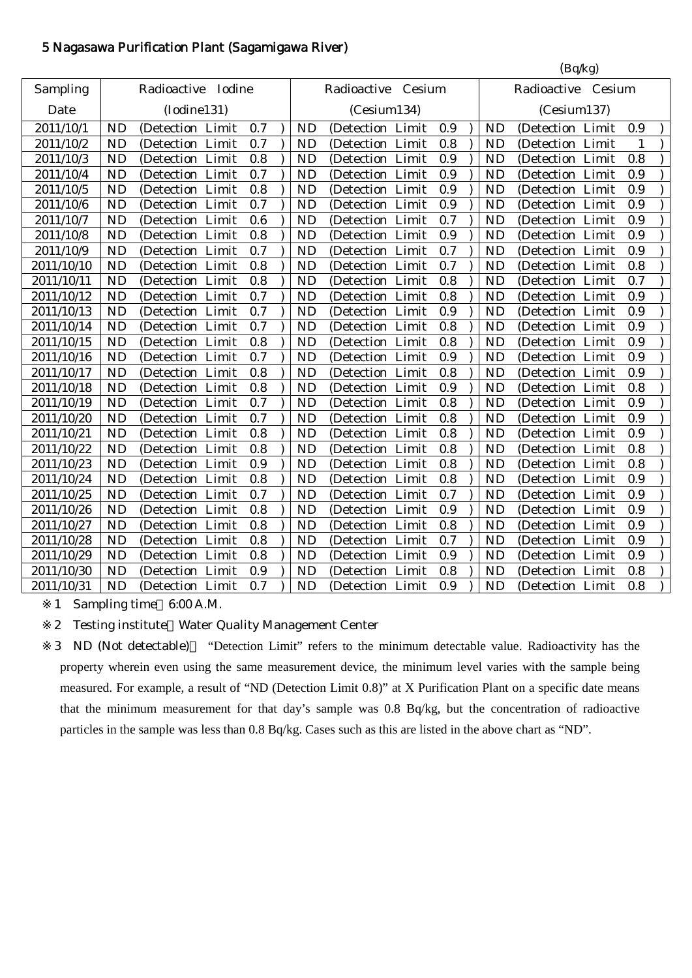## 5 Nagasawa Purification Plant (Sagamigawa River)

|            |                                   |                  |       |     |           |                    |     |           | (Bq/kg)              |     |  |
|------------|-----------------------------------|------------------|-------|-----|-----------|--------------------|-----|-----------|----------------------|-----|--|
| Sampling   | Radioactive Iodine<br>(Iodine131) |                  |       |     |           | Radioactive Cesium |     |           | Radioactive Cesium   |     |  |
| Date       |                                   |                  |       |     |           | (Cesium134)        |     |           | (Cesium137)          |     |  |
| 2011/10/1  | <b>ND</b>                         | (Detection Limit |       | 0.7 | <b>ND</b> | (Detection Limit   | 0.9 | <b>ND</b> | (Detection Limit     | 0.9 |  |
| 2011/10/2  | <b>ND</b>                         | (Detection       | Limit | 0.7 | <b>ND</b> | (Detection Limit   | 0.8 | <b>ND</b> | (Detection Limit     | 1   |  |
| 2011/10/3  | <b>ND</b>                         | (Detection       | Limit | 0.8 | <b>ND</b> | (Detection Limit   | 0.9 | <b>ND</b> | (Detection Limit     | 0.8 |  |
| 2011/10/4  | <b>ND</b>                         | (Detection Limit |       | 0.7 | <b>ND</b> | (Detection Limit   | 0.9 | <b>ND</b> | (Detection Limit     | 0.9 |  |
| 2011/10/5  | <b>ND</b>                         | (Detection Limit |       | 0.8 | <b>ND</b> | (Detection Limit   | 0.9 | <b>ND</b> | (Detection Limit     | 0.9 |  |
| 2011/10/6  | <b>ND</b>                         | (Detection Limit |       | 0.7 | <b>ND</b> | (Detection Limit   | 0.9 | <b>ND</b> | (Detection Limit     | 0.9 |  |
| 2011/10/7  | <b>ND</b>                         | (Detection Limit |       | 0.6 | <b>ND</b> | (Detection Limit   | 0.7 | <b>ND</b> | (Detection Limit     | 0.9 |  |
| 2011/10/8  | <b>ND</b>                         | (Detection Limit |       | 0.8 | <b>ND</b> | (Detection Limit   | 0.9 | <b>ND</b> | (Detection Limit     | 0.9 |  |
| 2011/10/9  | <b>ND</b>                         | (Detection Limit |       | 0.7 | <b>ND</b> | (Detection Limit   | 0.7 | <b>ND</b> | (Detection Limit     | 0.9 |  |
| 2011/10/10 | <b>ND</b>                         | (Detection Limit |       | 0.8 | <b>ND</b> | (Detection Limit   | 0.7 | <b>ND</b> | (Detection Limit     | 0.8 |  |
| 2011/10/11 | <b>ND</b>                         | (Detection Limit |       | 0.8 | <b>ND</b> | (Detection Limit   | 0.8 | <b>ND</b> | (Detection Limit     | 0.7 |  |
| 2011/10/12 | <b>ND</b>                         | (Detection Limit |       | 0.7 | <b>ND</b> | (Detection Limit   | 0.8 | <b>ND</b> | (Detection Limit     | 0.9 |  |
| 2011/10/13 | <b>ND</b>                         | (Detection Limit |       | 0.7 | <b>ND</b> | (Detection Limit   | 0.9 | <b>ND</b> | (Detection Limit     | 0.9 |  |
| 2011/10/14 | <b>ND</b>                         | (Detection Limit |       | 0.7 | <b>ND</b> | (Detection Limit   | 0.8 | <b>ND</b> | (Detection Limit     | 0.9 |  |
| 2011/10/15 | <b>ND</b>                         | (Detection Limit |       | 0.8 | <b>ND</b> | (Detection Limit   | 0.8 | <b>ND</b> | (Detection Limit     | 0.9 |  |
| 2011/10/16 | <b>ND</b>                         | (Detection       | Limit | 0.7 | <b>ND</b> | (Detection Limit   | 0.9 | <b>ND</b> | (Detection Limit     | 0.9 |  |
| 2011/10/17 | <b>ND</b>                         | (Detection       | Limit | 0.8 | <b>ND</b> | (Detection Limit   | 0.8 | <b>ND</b> | (Detection Limit     | 0.9 |  |
| 2011/10/18 | <b>ND</b>                         | (Detection Limit |       | 0.8 | <b>ND</b> | (Detection Limit   | 0.9 | <b>ND</b> | (Detection Limit     | 0.8 |  |
| 2011/10/19 | <b>ND</b>                         | (Detection Limit |       | 0.7 | <b>ND</b> | (Detection Limit   | 0.8 | <b>ND</b> | (Detection)<br>Limit | 0.9 |  |
| 2011/10/20 | <b>ND</b>                         | (Detection Limit |       | 0.7 | <b>ND</b> | (Detection Limit   | 0.8 | <b>ND</b> | (Detection Limit     | 0.9 |  |
| 2011/10/21 | <b>ND</b>                         | (Detection Limit |       | 0.8 | <b>ND</b> | (Detection Limit   | 0.8 | <b>ND</b> | (Detection Limit     | 0.9 |  |
| 2011/10/22 | <b>ND</b>                         | (Detection Limit |       | 0.8 | <b>ND</b> | (Detection Limit   | 0.8 | <b>ND</b> | (Detection Limit     | 0.8 |  |
| 2011/10/23 | <b>ND</b>                         | (Detection Limit |       | 0.9 | <b>ND</b> | (Detection Limit   | 0.8 | <b>ND</b> | Limit<br>(Detection  | 0.8 |  |
| 2011/10/24 | <b>ND</b>                         | (Detection Limit |       | 0.8 | <b>ND</b> | (Detection Limit   | 0.8 | <b>ND</b> | (Detection Limit     | 0.9 |  |
| 2011/10/25 | <b>ND</b>                         | (Detection       | Limit | 0.7 | <b>ND</b> | (Detection Limit   | 0.7 | <b>ND</b> | (Detection Limit     | 0.9 |  |
| 2011/10/26 | <b>ND</b>                         | (Detection Limit |       | 0.8 | <b>ND</b> | (Detection Limit   | 0.9 | <b>ND</b> | (Detection Limit     | 0.9 |  |
| 2011/10/27 | <b>ND</b>                         | (Detection Limit |       | 0.8 | <b>ND</b> | (Detection Limit   | 0.8 | <b>ND</b> | (Detection Limit     | 0.9 |  |
| 2011/10/28 | <b>ND</b>                         | (Detection Limit |       | 0.8 | <b>ND</b> | (Detection Limit   | 0.7 | <b>ND</b> | (Detection Limit     | 0.9 |  |
| 2011/10/29 | <b>ND</b>                         | (Detection Limit |       | 0.8 | <b>ND</b> | (Detection Limit   | 0.9 | <b>ND</b> | (Detection Limit     | 0.9 |  |
| 2011/10/30 | <b>ND</b>                         | (Detection Limit |       | 0.9 | <b>ND</b> | (Detection Limit   | 0.8 | <b>ND</b> | (Detection Limit     | 0.8 |  |
| 2011/10/31 | <b>ND</b>                         | (Detection Limit |       | 0.7 | <b>ND</b> | (Detection Limit   | 0.9 | <b>ND</b> | (Detection Limit     | 0.8 |  |
|            |                                   |                  |       |     |           |                    |     |           |                      |     |  |

1 Sampling time 6:00 A.M.

2 Testing institute Water Quality Management Center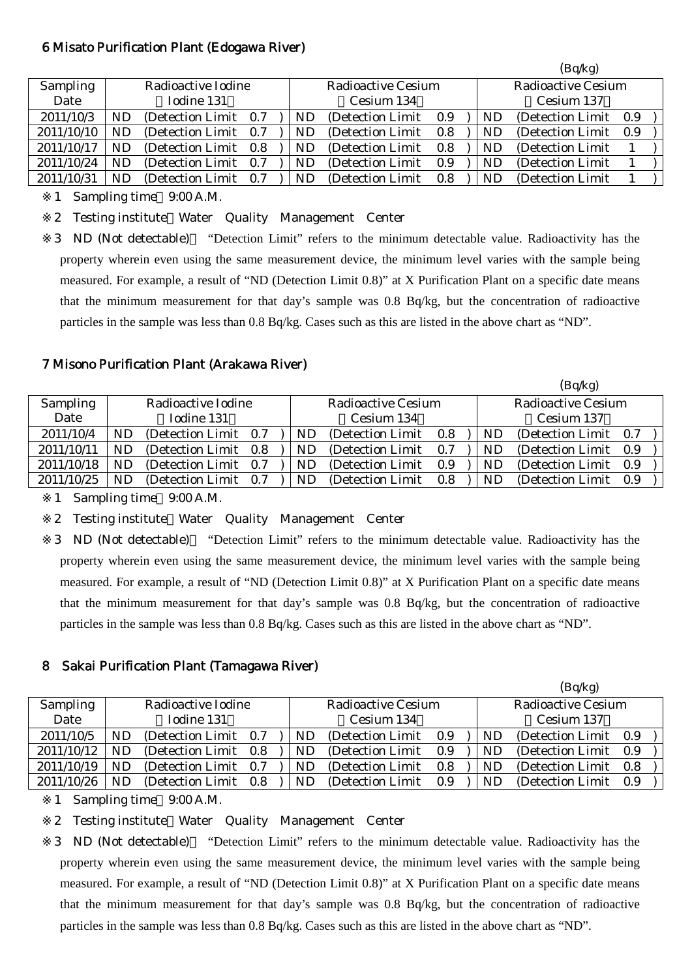#### 6 Misato Purification Plant (Edogawa River)

|                 |     |                       |     |    |                    |     |            | (Bq/kg)            |     |  |
|-----------------|-----|-----------------------|-----|----|--------------------|-----|------------|--------------------|-----|--|
| <b>Sampling</b> |     | Radioactive Iodine    |     |    | Radioactive Cesium |     |            | Radioactive Cesium |     |  |
| Date            |     | Iodine 131            |     |    | Cesium 134         |     |            | Cesium 137         |     |  |
| 2011/10/3       | ND  | (Detection Limit 0.7) |     | ND | (Detection Limit)  | 0.9 | ND         | (Detection Limit)  | 0.9 |  |
| 2011/10/10      | ND  | (Detection Limit)     | 0.7 | ND | (Detection Limit)  | 0.8 | ND         | (Detection Limit)  | 0.9 |  |
| 2011/10/17      | ND  | (Detection Limit)     | 0.8 | ND | (Detection Limit)  | 0.8 | ${\rm ND}$ | (Detection Limit)  |     |  |
| 2011/10/24      | ND. | (Detection Limit)     | 0.7 | ND | (Detection Limit)  | 0.9 | ${\rm ND}$ | (Detection Limit)  |     |  |
| 2011/10/31      | ND  | (Detection Limit)     | 0.7 | ND | (Detection Limit)  | 0.8 | ND         | (Detection Limit)  |     |  |

1 Sampling time 9:00 A.M.

2 Testing institute Water Quality Management Center

3 ND (Not detectable) "Detection Limit" refers to the minimum detectable value. Radioactivity has the property wherein even using the same measurement device, the minimum level varies with the sample being measured. For example, a result of "ND (Detection Limit 0.8)" at X Purification Plant on a specific date means that the minimum measurement for that day's sample was 0.8 Bq/kg, but the concentration of radioactive particles in the sample was less than 0.8 Bq/kg. Cases such as this are listed in the above chart as "ND".

#### 7 Misono Purification Plant (Arakawa River)

|            |    |                    |     |     |                    |     |     | (Bq/kg)               |     |  |
|------------|----|--------------------|-----|-----|--------------------|-----|-----|-----------------------|-----|--|
| Sampling   |    | Radioactive Iodine |     |     | Radioactive Cesium |     |     | Radioactive Cesium    |     |  |
| Date       |    | Iodine 131         |     |     | Cesium 134         |     |     | Cesium 137            |     |  |
| 2011/10/4  | ND | (Detection Limit)  | 0.7 | ND  | (Detection Limit)  | 0.8 | ND. | (Detection Limit 0.7) |     |  |
| 2011/10/11 | ND | (Detection Limit)  | 0.8 | ND. | (Detection Limit)  | 0.7 | ND. | (Detection Limit)     | 0.9 |  |
| 2011/10/18 | ND | (Detection Limit)  | 0.7 | ND  | (Detection Limit)  | 0.9 | ND  | (Detection Limit)     | 0.9 |  |
| 2011/10/25 | ND | (Detection Limit)  | 0.7 | ND  | (Detection Limit)  | 0.8 | ND  | (Detection Limit)     | 0.9 |  |

1 Sampling time 9:00 A.M.

2 Testing institute Water Quality Management Center

3 ND (Not detectable) "Detection Limit" refers to the minimum detectable value. Radioactivity has the property wherein even using the same measurement device, the minimum level varies with the sample being measured. For example, a result of "ND (Detection Limit 0.8)" at X Purification Plant on a specific date means that the minimum measurement for that day's sample was 0.8 Bq/kg, but the concentration of radioactive particles in the sample was less than 0.8 Bq/kg. Cases such as this are listed in the above chart as "ND".

#### 8 Sakai Purification Plant (Tamagawa River)

|                 |    |                       |     |    |                    |     |    | (Bq/kg)               |     |
|-----------------|----|-----------------------|-----|----|--------------------|-----|----|-----------------------|-----|
| <b>Sampling</b> |    | Radioactive Iodine    |     |    | Radioactive Cesium |     |    | Radioactive Cesium    |     |
| Date            |    | Iodine 131            |     |    | Cesium 134         |     |    | Cesium 137            |     |
| 2011/10/5       | ND | (Detection Limit 0.7) |     | ND | (Detection Limit)  | 0.9 | ND | (Detection Limit 0.9) |     |
| 2011/10/12      |    | (Detection Limit 0.8) |     | ND | (Detection Limit)  | 0.9 | ND | (Detection Limit 0.9) |     |
| 2011/10/19      | ND | (Detection Limit)     | 0.7 | ND | (Detection Limit)  | 0.8 | ND | (Detection Limit)     | 0.8 |
| 2011/10/26      | NĽ | (Detection Limit)     | 0.8 | ND | (Detection Limit)  | 0.9 | ND | (Detection Limit)     | 0.9 |

1 Sampling time 9:00 A.M.

2 Testing institute Water Quality Management Center